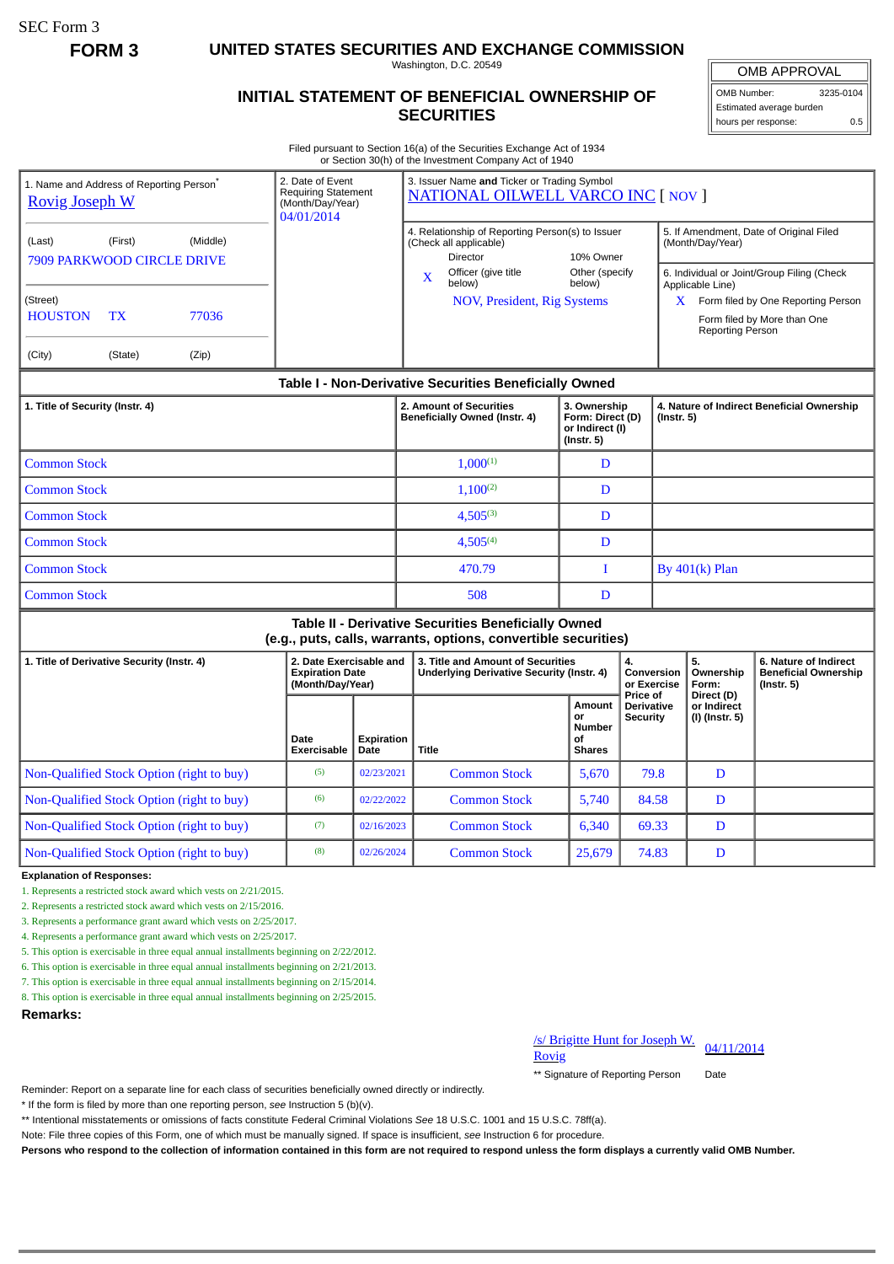SEC Form 3

**FORM 3 UNITED STATES SECURITIES AND EXCHANGE COMMISSION**

Washington, D.C. 20549

## **INITIAL STATEMENT OF BENEFICIAL OWNERSHIP OF SECURITIES**

OMB APPROVAL

OMB Number: 3235-0104 Estimated average burden hours per response: 0.5

Filed pursuant to Section 16(a) of the Securities Exchange Act of 1934 or Section 30(h) of the Investment Company Act of 1940

| 1. Name and Address of Reporting Person <sup>®</sup><br><b>Rovig Joseph W</b>                                         |                                 | 2. Date of Event<br><b>Requiring Statement</b><br>(Month/Day/Year)<br>04/01/2014 |                     | 3. Issuer Name and Ticker or Trading Symbol<br><b>NATIONAL OILWELL VARCO INC [ NOV ]</b> |                                                                                                                                                                           |                                                                                       |                                                                         |                                             |                                                                                                                                                                                                                                   |                                        |                                                                          |
|-----------------------------------------------------------------------------------------------------------------------|---------------------------------|----------------------------------------------------------------------------------|---------------------|------------------------------------------------------------------------------------------|---------------------------------------------------------------------------------------------------------------------------------------------------------------------------|---------------------------------------------------------------------------------------|-------------------------------------------------------------------------|---------------------------------------------|-----------------------------------------------------------------------------------------------------------------------------------------------------------------------------------------------------------------------------------|----------------------------------------|--------------------------------------------------------------------------|
| (Last)<br><b>7909 PARKWOOD CIRCLE DRIVE</b><br>(Street)<br><b>HOUSTON</b><br>(City)                                   | (First)<br><b>TX</b><br>(State) | (Middle)<br>77036<br>(Zip)                                                       |                     |                                                                                          | 4. Relationship of Reporting Person(s) to Issuer<br>(Check all applicable)<br><b>Director</b><br>Officer (give title<br>X<br>below)<br><b>NOV, President, Rig Systems</b> |                                                                                       | 10% Owner<br>Other (specify<br>below)                                   |                                             | 5. If Amendment, Date of Original Filed<br>(Month/Day/Year)<br>6. Individual or Joint/Group Filing (Check<br>Applicable Line)<br>$X$ Form filed by One Reporting Person<br>Form filed by More than One<br><b>Reporting Person</b> |                                        |                                                                          |
| Table I - Non-Derivative Securities Beneficially Owned                                                                |                                 |                                                                                  |                     |                                                                                          |                                                                                                                                                                           |                                                                                       |                                                                         |                                             |                                                                                                                                                                                                                                   |                                        |                                                                          |
| 1. Title of Security (Instr. 4)                                                                                       |                                 |                                                                                  |                     |                                                                                          |                                                                                                                                                                           | 2. Amount of Securities<br>Beneficially Owned (Instr. 4)                              | 3. Ownership<br>Form: Direct (D)<br>or Indirect (I)<br>$($ lnstr. 5 $)$ |                                             | 4. Nature of Indirect Beneficial Ownership<br>$($ lnstr. 5 $)$                                                                                                                                                                    |                                        |                                                                          |
| <b>Common Stock</b>                                                                                                   |                                 |                                                                                  |                     |                                                                                          |                                                                                                                                                                           | $1.000^{(1)}$                                                                         | D                                                                       |                                             |                                                                                                                                                                                                                                   |                                        |                                                                          |
| <b>Common Stock</b>                                                                                                   |                                 |                                                                                  |                     |                                                                                          |                                                                                                                                                                           | $1.100^{(2)}$                                                                         | D                                                                       |                                             |                                                                                                                                                                                                                                   |                                        |                                                                          |
| <b>Common Stock</b>                                                                                                   |                                 |                                                                                  |                     |                                                                                          |                                                                                                                                                                           | $4.505^{(3)}$                                                                         | D                                                                       |                                             |                                                                                                                                                                                                                                   |                                        |                                                                          |
| <b>Common Stock</b>                                                                                                   |                                 |                                                                                  |                     |                                                                                          |                                                                                                                                                                           | $4.505^{(4)}$                                                                         | D                                                                       |                                             |                                                                                                                                                                                                                                   |                                        |                                                                          |
| <b>Common Stock</b>                                                                                                   |                                 |                                                                                  |                     |                                                                                          |                                                                                                                                                                           | 470.79                                                                                | T                                                                       |                                             | By $401(k)$ Plan                                                                                                                                                                                                                  |                                        |                                                                          |
| <b>Common Stock</b>                                                                                                   |                                 |                                                                                  |                     |                                                                                          |                                                                                                                                                                           | 508                                                                                   | D                                                                       |                                             |                                                                                                                                                                                                                                   |                                        |                                                                          |
| Table II - Derivative Securities Beneficially Owned<br>(e.g., puts, calls, warrants, options, convertible securities) |                                 |                                                                                  |                     |                                                                                          |                                                                                                                                                                           |                                                                                       |                                                                         |                                             |                                                                                                                                                                                                                                   |                                        |                                                                          |
| 1. Title of Derivative Security (Instr. 4)                                                                            |                                 |                                                                                  |                     | 2. Date Exercisable and<br><b>Expiration Date</b><br>(Month/Day/Year)                    |                                                                                                                                                                           | 3. Title and Amount of Securities<br><b>Underlying Derivative Security (Instr. 4)</b> |                                                                         | 4.<br>Conversion<br>or Exercise<br>Price of |                                                                                                                                                                                                                                   | 5.<br>Ownership<br>Form:<br>Direct (D) | 6. Nature of Indirect<br><b>Beneficial Ownership</b><br>$($ Instr. 5 $)$ |
|                                                                                                                       |                                 |                                                                                  | Date<br>Exercisable | Expiration<br>Date                                                                       | <b>Title</b>                                                                                                                                                              |                                                                                       | Amount<br>or<br><b>Number</b><br>οf<br><b>Shares</b>                    | <b>Derivative</b><br>Security               |                                                                                                                                                                                                                                   | or Indirect<br>(I) (Instr. 5)          |                                                                          |

Non-Qualified Stock Option (right to buy) (8) 02/26/2024 Common Stock 25,679 74.83 D

**Explanation of Responses:**

1. Represents a restricted stock award which vests on 2/21/2015.

2. Represents a restricted stock award which vests on 2/15/2016.

3. Represents a performance grant award which vests on 2/25/2017.

4. Represents a performance grant award which vests on 2/25/2017.

5. This option is exercisable in three equal annual installments beginning on 2/22/2012.

6. This option is exercisable in three equal annual installments beginning on 2/21/2013.

7. This option is exercisable in three equal annual installments beginning on 2/15/2014.

8. This option is exercisable in three equal annual installments beginning on 2/25/2015.

**Remarks:**

## /s/ Brigitte Hunt for Joseph W.<br>Rovig

\*\* Signature of Reporting Person Date

Reminder: Report on a separate line for each class of securities beneficially owned directly or indirectly.

\* If the form is filed by more than one reporting person, *see* Instruction 5 (b)(v).

\*\* Intentional misstatements or omissions of facts constitute Federal Criminal Violations *See* 18 U.S.C. 1001 and 15 U.S.C. 78ff(a).

Note: File three copies of this Form, one of which must be manually signed. If space is insufficient, *see* Instruction 6 for procedure.

**Persons who respond to the collection of information contained in this form are not required to respond unless the form displays a currently valid OMB Number.**

Non-Qualified Stock Option (right to buy) (5) 02/23/2021 Common Stock 5,670 79.8 D Non-Qualified Stock Option (right to buy) (6) 02/22/2022 Common Stock 5,740 84.58 D Non-Qualified Stock Option (right to buy) (7) 02/16/2023 Common Stock 6,340 69.33 D